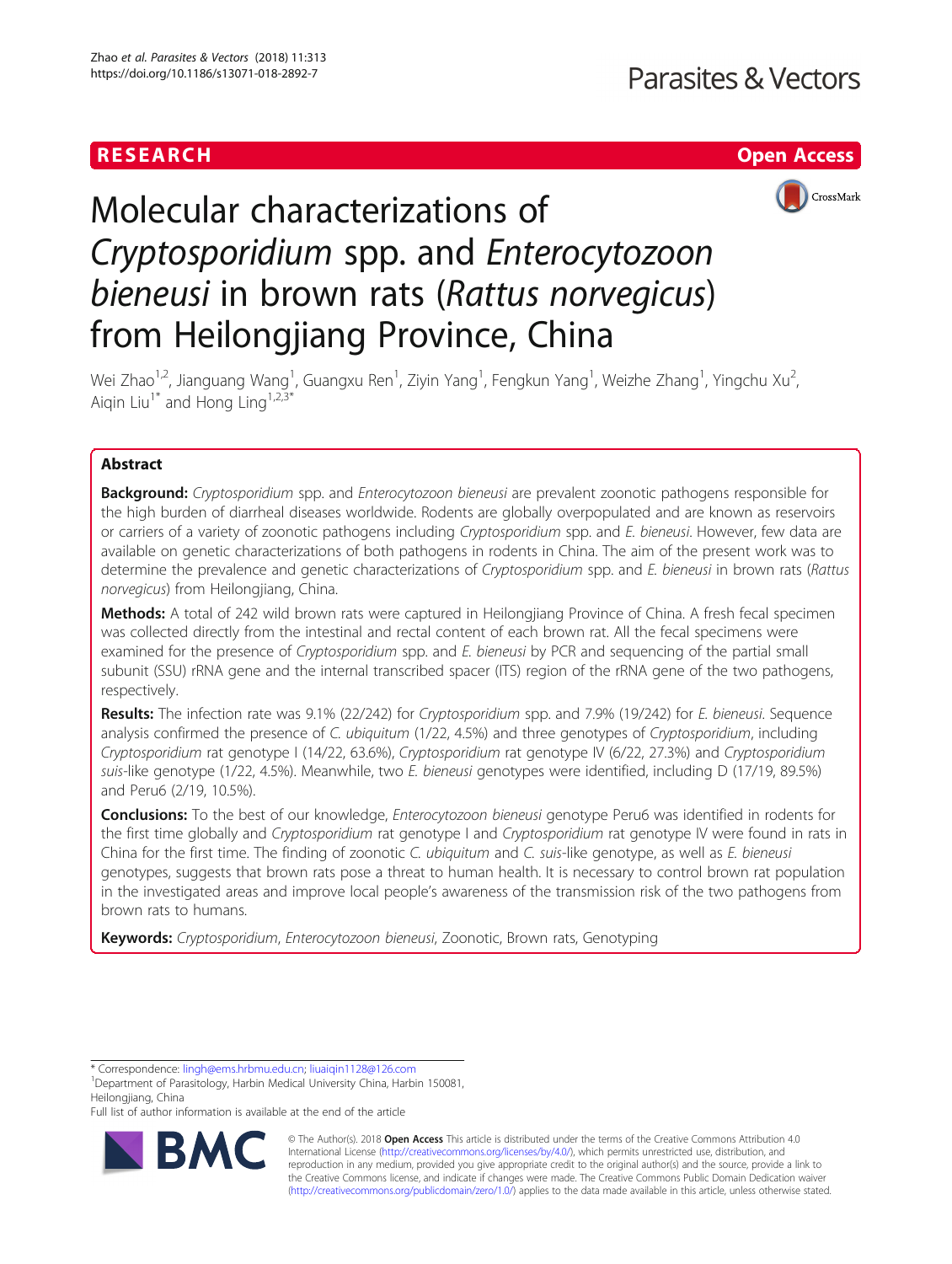# RESEARCH **RESEARCH CHANNEL EXECUTE THE EXECUTIVE OPEN Access**



# Molecular characterizations of Cryptosporidium spp. and Enterocytozoon bieneusi in brown rats (Rattus norvegicus) from Heilongjiang Province, China

Wei Zhao $^{1,2}$ , Jianguang Wang $^{1}$ , Guangxu Ren $^{1}$ , Ziyin Yang $^{1}$ , Fengkun Yang $^{1}$ , Weizhe Zhang $^{1}$ , Yingchu Xu $^{2}$ .<br>, Aigin Liu<sup>1\*</sup> and Hong Ling<sup>1,2,3\*</sup>

# Abstract

Background: Cryptosporidium spp. and Enterocytozoon bieneusi are prevalent zoonotic pathogens responsible for the high burden of diarrheal diseases worldwide. Rodents are globally overpopulated and are known as reservoirs or carriers of a variety of zoonotic pathogens including Cryptosporidium spp. and E. bieneusi. However, few data are available on genetic characterizations of both pathogens in rodents in China. The aim of the present work was to determine the prevalence and genetic characterizations of Cryptosporidium spp. and E. bieneusi in brown rats (Rattus norvegicus) from Heilongjiang, China.

Methods: A total of 242 wild brown rats were captured in Heilongjiang Province of China. A fresh fecal specimen was collected directly from the intestinal and rectal content of each brown rat. All the fecal specimens were examined for the presence of Cryptosporidium spp. and E. bieneusi by PCR and sequencing of the partial small subunit (SSU) rRNA gene and the internal transcribed spacer (ITS) region of the rRNA gene of the two pathogens, respectively.

Results: The infection rate was 9.1% (22/242) for Cryptosporidium spp. and 7.9% (19/242) for E. bieneusi. Sequence analysis confirmed the presence of C. ubiquitum (1/22, 4.5%) and three genotypes of Cryptosporidium, including Cryptosporidium rat genotype I (14/22, 63.6%), Cryptosporidium rat genotype IV (6/22, 27.3%) and Cryptosporidium suis-like genotype (1/22, 4.5%). Meanwhile, two E. bieneusi genotypes were identified, including D (17/19, 89.5%) and Peru6 (2/19, 10.5%).

Conclusions: To the best of our knowledge, Enterocytozoon bieneusi genotype Peru6 was identified in rodents for the first time globally and Cryptosporidium rat genotype I and Cryptosporidium rat genotype IV were found in rats in China for the first time. The finding of zoonotic C. ubiquitum and C. suis-like genotype, as well as E. bieneusi genotypes, suggests that brown rats pose a threat to human health. It is necessary to control brown rat population in the investigated areas and improve local people's awareness of the transmission risk of the two pathogens from brown rats to humans.

Keywords: Cryptosporidium, Enterocytozoon bieneusi, Zoonotic, Brown rats, Genotyping

Full list of author information is available at the end of the article



© The Author(s). 2018 Open Access This article is distributed under the terms of the Creative Commons Attribution 4.0 International License [\(http://creativecommons.org/licenses/by/4.0/](http://creativecommons.org/licenses/by/4.0/)), which permits unrestricted use, distribution, and reproduction in any medium, provided you give appropriate credit to the original author(s) and the source, provide a link to the Creative Commons license, and indicate if changes were made. The Creative Commons Public Domain Dedication waiver [\(http://creativecommons.org/publicdomain/zero/1.0/](http://creativecommons.org/publicdomain/zero/1.0/)) applies to the data made available in this article, unless otherwise stated.

<sup>\*</sup> Correspondence: [lingh@ems.hrbmu.edu.cn](mailto:lingh@ems.hrbmu.edu.cn); [liuaiqin1128@126.com](mailto:liuaiqin1128@126.com) <sup>1</sup>

<sup>&</sup>lt;sup>1</sup>Department of Parasitology, Harbin Medical University China, Harbin 150081, Heilongjiang, China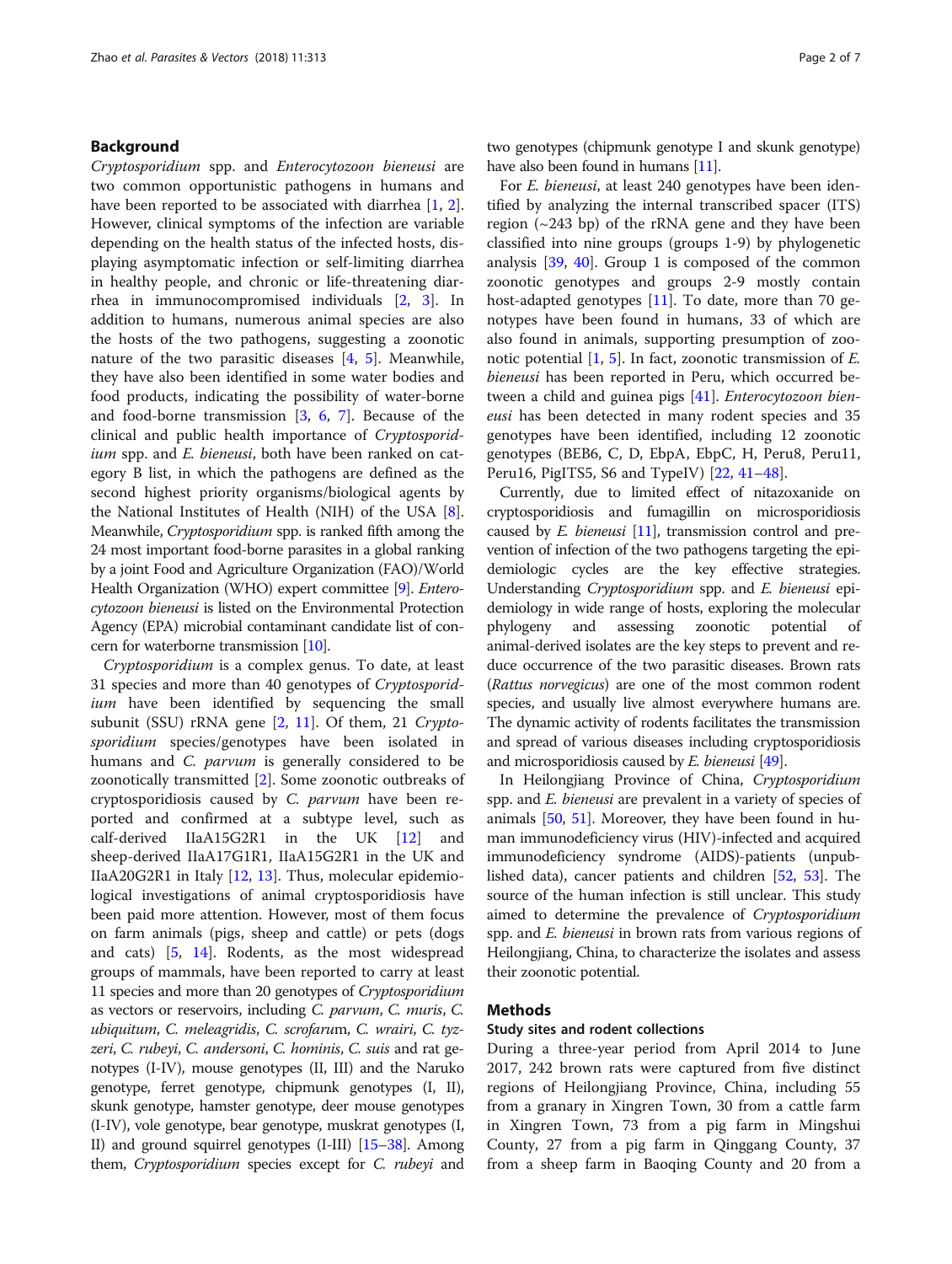# Background

Cryptosporidium spp. and Enterocytozoon bieneusi are two common opportunistic pathogens in humans and have been reported to be associated with diarrhea [[1,](#page-4-0) [2](#page-4-0)]. However, clinical symptoms of the infection are variable depending on the health status of the infected hosts, displaying asymptomatic infection or self-limiting diarrhea in healthy people, and chronic or life-threatening diarrhea in immunocompromised individuals [[2,](#page-4-0) [3](#page-4-0)]. In addition to humans, numerous animal species are also the hosts of the two pathogens, suggesting a zoonotic nature of the two parasitic diseases [[4,](#page-5-0) [5](#page-5-0)]. Meanwhile, they have also been identified in some water bodies and food products, indicating the possibility of water-borne and food-borne transmission  $[3, 6, 7]$  $[3, 6, 7]$  $[3, 6, 7]$  $[3, 6, 7]$  $[3, 6, 7]$ . Because of the clinical and public health importance of Cryptosporidium spp. and E. bieneusi, both have been ranked on category B list, in which the pathogens are defined as the second highest priority organisms/biological agents by the National Institutes of Health (NIH) of the USA [\[8](#page-5-0)]. Meanwhile, Cryptosporidium spp. is ranked fifth among the 24 most important food-borne parasites in a global ranking by a joint Food and Agriculture Organization (FAO)/World Health Organization (WHO) expert committee [\[9\]](#page-5-0). *Entero*cytozoon bieneusi is listed on the Environmental Protection Agency (EPA) microbial contaminant candidate list of concern for waterborne transmission [\[10\]](#page-5-0).

Cryptosporidium is a complex genus. To date, at least 31 species and more than 40 genotypes of Cryptosporidium have been identified by sequencing the small subunit (SSU) rRNA gene [\[2](#page-4-0), [11](#page-5-0)]. Of them, 21 Cryptosporidium species/genotypes have been isolated in humans and C. parvum is generally considered to be zoonotically transmitted [\[2](#page-4-0)]. Some zoonotic outbreaks of cryptosporidiosis caused by C. parvum have been reported and confirmed at a subtype level, such as calf-derived IIaA15G2R1 in the UK [[12\]](#page-5-0) and sheep-derived IIaA17G1R1, IIaA15G2R1 in the UK and IIaA20G2R1 in Italy [[12,](#page-5-0) [13\]](#page-5-0). Thus, molecular epidemiological investigations of animal cryptosporidiosis have been paid more attention. However, most of them focus on farm animals (pigs, sheep and cattle) or pets (dogs and cats) [[5,](#page-5-0) [14](#page-5-0)]. Rodents, as the most widespread groups of mammals, have been reported to carry at least 11 species and more than 20 genotypes of Cryptosporidium as vectors or reservoirs, including C. parvum, C. muris, C. ubiquitum, C. meleagridis, C. scrofarum, C. wrairi, C. tyzzeri, C. rubeyi, C. andersoni, C. hominis, C. suis and rat genotypes (I-IV), mouse genotypes (II, III) and the Naruko genotype, ferret genotype, chipmunk genotypes (I, II), skunk genotype, hamster genotype, deer mouse genotypes (I-IV), vole genotype, bear genotype, muskrat genotypes (I, II) and ground squirrel genotypes (I-III) [\[15](#page-5-0)–[38\]](#page-5-0). Among them, Cryptosporidium species except for C. rubeyi and

two genotypes (chipmunk genotype I and skunk genotype) have also been found in humans [\[11](#page-5-0)].

For E. bieneusi, at least 240 genotypes have been identified by analyzing the internal transcribed spacer (ITS) region (~243 bp) of the rRNA gene and they have been classified into nine groups (groups 1-9) by phylogenetic analysis [\[39,](#page-5-0) [40\]](#page-5-0). Group 1 is composed of the common zoonotic genotypes and groups 2-9 mostly contain host-adapted genotypes [[11](#page-5-0)]. To date, more than 70 genotypes have been found in humans, 33 of which are also found in animals, supporting presumption of zoonotic potential  $[1, 5]$  $[1, 5]$  $[1, 5]$  $[1, 5]$ . In fact, zoonotic transmission of E. bieneusi has been reported in Peru, which occurred be-tween a child and guinea pigs [\[41\]](#page-5-0). *Enterocytozoon bien*eusi has been detected in many rodent species and 35 genotypes have been identified, including 12 zoonotic genotypes (BEB6, C, D, EbpA, EbpC, H, Peru8, Peru11, Peru16, PigITS5, S6 and TypeIV) [\[22,](#page-5-0) [41](#page-5-0)–[48\]](#page-5-0).

Currently, due to limited effect of nitazoxanide on cryptosporidiosis and fumagillin on microsporidiosis caused by E. bieneusi [[11](#page-5-0)], transmission control and prevention of infection of the two pathogens targeting the epidemiologic cycles are the key effective strategies. Understanding Cryptosporidium spp. and E. bieneusi epidemiology in wide range of hosts, exploring the molecular phylogeny and assessing zoonotic potential of animal-derived isolates are the key steps to prevent and reduce occurrence of the two parasitic diseases. Brown rats (Rattus norvegicus) are one of the most common rodent species, and usually live almost everywhere humans are. The dynamic activity of rodents facilitates the transmission and spread of various diseases including cryptosporidiosis and microsporidiosis caused by  $E$ . bieneusi [\[49\]](#page-5-0).

In Heilongjiang Province of China, Cryptosporidium spp. and E. bieneusi are prevalent in a variety of species of animals [\[50,](#page-6-0) [51](#page-6-0)]. Moreover, they have been found in human immunodeficiency virus (HIV)-infected and acquired immunodeficiency syndrome (AIDS)-patients (unpublished data), cancer patients and children [[52](#page-6-0), [53\]](#page-6-0). The source of the human infection is still unclear. This study aimed to determine the prevalence of Cryptosporidium spp. and *E. bieneusi* in brown rats from various regions of Heilongjiang, China, to characterize the isolates and assess their zoonotic potential.

# Methods

# Study sites and rodent collections

During a three-year period from April 2014 to June 2017, 242 brown rats were captured from five distinct regions of Heilongjiang Province, China, including 55 from a granary in Xingren Town, 30 from a cattle farm in Xingren Town, 73 from a pig farm in Mingshui County, 27 from a pig farm in Qinggang County, 37 from a sheep farm in Baoqing County and 20 from a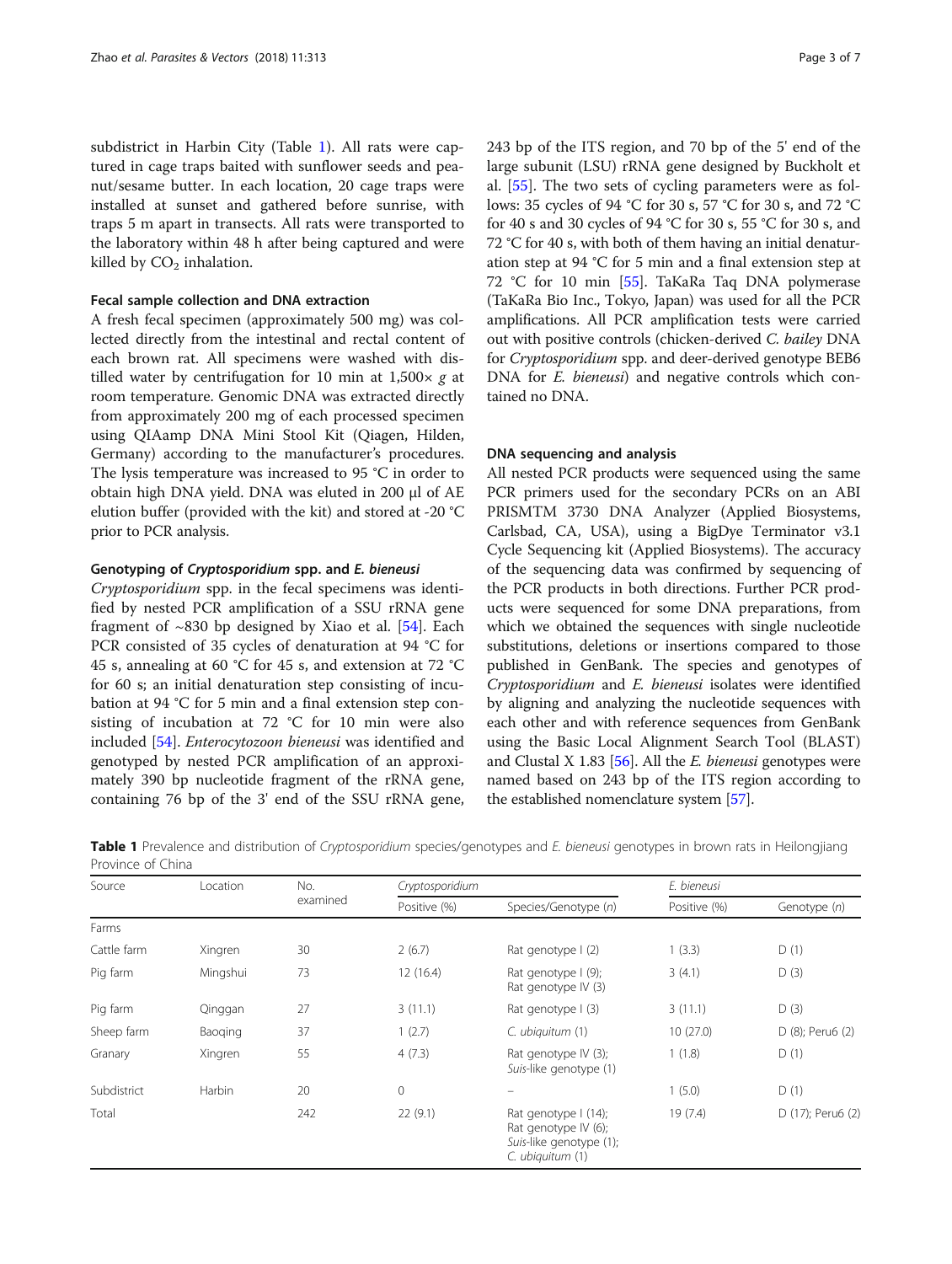<span id="page-2-0"></span>subdistrict in Harbin City (Table 1). All rats were captured in cage traps baited with sunflower seeds and peanut/sesame butter. In each location, 20 cage traps were installed at sunset and gathered before sunrise, with traps 5 m apart in transects. All rats were transported to the laboratory within 48 h after being captured and were killed by  $CO<sub>2</sub>$  inhalation.

## Fecal sample collection and DNA extraction

A fresh fecal specimen (approximately 500 mg) was collected directly from the intestinal and rectal content of each brown rat. All specimens were washed with distilled water by centrifugation for 10 min at  $1,500 \times g$  at room temperature. Genomic DNA was extracted directly from approximately 200 mg of each processed specimen using QIAamp DNA Mini Stool Kit (Qiagen, Hilden, Germany) according to the manufacturer's procedures. The lysis temperature was increased to 95 °C in order to obtain high DNA yield. DNA was eluted in 200 μl of AE elution buffer (provided with the kit) and stored at -20 °C prior to PCR analysis.

# Genotyping of Cryptosporidium spp. and E. bieneusi

Cryptosporidium spp. in the fecal specimens was identified by nested PCR amplification of a SSU rRNA gene fragment of  $\sim 830$  bp designed by Xiao et al. [[54\]](#page-6-0). Each PCR consisted of 35 cycles of denaturation at 94 °C for 45 s, annealing at 60 °C for 45 s, and extension at 72 °C for 60 s; an initial denaturation step consisting of incubation at 94 °C for 5 min and a final extension step consisting of incubation at 72 °C for 10 min were also included [[54\]](#page-6-0). Enterocytozoon bieneusi was identified and genotyped by nested PCR amplification of an approximately 390 bp nucleotide fragment of the rRNA gene, containing 76 bp of the 3' end of the SSU rRNA gene, 243 bp of the ITS region, and 70 bp of the 5' end of the large subunit (LSU) rRNA gene designed by Buckholt et al. [[55](#page-6-0)]. The two sets of cycling parameters were as follows: 35 cycles of 94 °C for 30 s, 57 °C for 30 s, and 72 °C for 40 s and 30 cycles of 94 °C for 30 s, 55 °C for 30 s, and 72 °C for 40 s, with both of them having an initial denaturation step at 94 °C for 5 min and a final extension step at 72 °C for 10 min [\[55\]](#page-6-0). TaKaRa Taq DNA polymerase (TaKaRa Bio Inc., Tokyo, Japan) was used for all the PCR amplifications. All PCR amplification tests were carried out with positive controls (chicken-derived C. bailey DNA for Cryptosporidium spp. and deer-derived genotype BEB6 DNA for *E. bieneusi*) and negative controls which contained no DNA.

# DNA sequencing and analysis

All nested PCR products were sequenced using the same PCR primers used for the secondary PCRs on an ABI PRISMTM 3730 DNA Analyzer (Applied Biosystems, Carlsbad, CA, USA), using a BigDye Terminator v3.1 Cycle Sequencing kit (Applied Biosystems). The accuracy of the sequencing data was confirmed by sequencing of the PCR products in both directions. Further PCR products were sequenced for some DNA preparations, from which we obtained the sequences with single nucleotide substitutions, deletions or insertions compared to those published in GenBank. The species and genotypes of Cryptosporidium and E. bieneusi isolates were identified by aligning and analyzing the nucleotide sequences with each other and with reference sequences from GenBank using the Basic Local Alignment Search Tool (BLAST) and Clustal X 1.83  $[56]$  $[56]$ . All the *E. bieneusi* genotypes were named based on 243 bp of the ITS region according to the established nomenclature system [\[57\]](#page-6-0).

Table 1 Prevalence and distribution of Cryptosporidium species/genotypes and E. bieneusi genotypes in brown rats in Heilongjiang Province of China

| Source      | Location | No.<br>examined | Cryptosporidium |                                                                                             | E. bieneusi  |                   |
|-------------|----------|-----------------|-----------------|---------------------------------------------------------------------------------------------|--------------|-------------------|
|             |          |                 | Positive (%)    | Species/Genotype (n)                                                                        | Positive (%) | Genotype (n)      |
| Farms       |          |                 |                 |                                                                                             |              |                   |
| Cattle farm | Xingren  | 30              | 2(6.7)          | Rat genotype I (2)                                                                          | 1(3.3)       | D(1)              |
| Pig farm    | Mingshui | 73              | 12(16.4)        | Rat genotype $\vert$ (9);<br>Rat genotype IV (3)                                            | 3(4.1)       | D(3)              |
| Pig farm    | Qinggan  | 27              | 3(11.1)         | Rat genotype I (3)                                                                          | 3(11.1)      | D(3)              |
| Sheep farm  | Baoging  | 37              | 1(2.7)          | C. ubiquitum (1)                                                                            | 10(27.0)     | D (8); Peru6 (2)  |
| Granary     | Xingren  | 55              | 4(7.3)          | Rat genotype IV (3);<br>Suis-like genotype (1)                                              | 1(1.8)       | D(1)              |
| Subdistrict | Harbin   | 20              | $\mathbf 0$     | $\overline{\phantom{m}}$                                                                    | 1(5.0)       | D(1)              |
| Total       |          | 242             | 22(9.1)         | Rat genotype I (14);<br>Rat genotype IV (6);<br>Suis-like genotype (1);<br>C. ubiquitum (1) | 19(7.4)      | D (17); Peru6 (2) |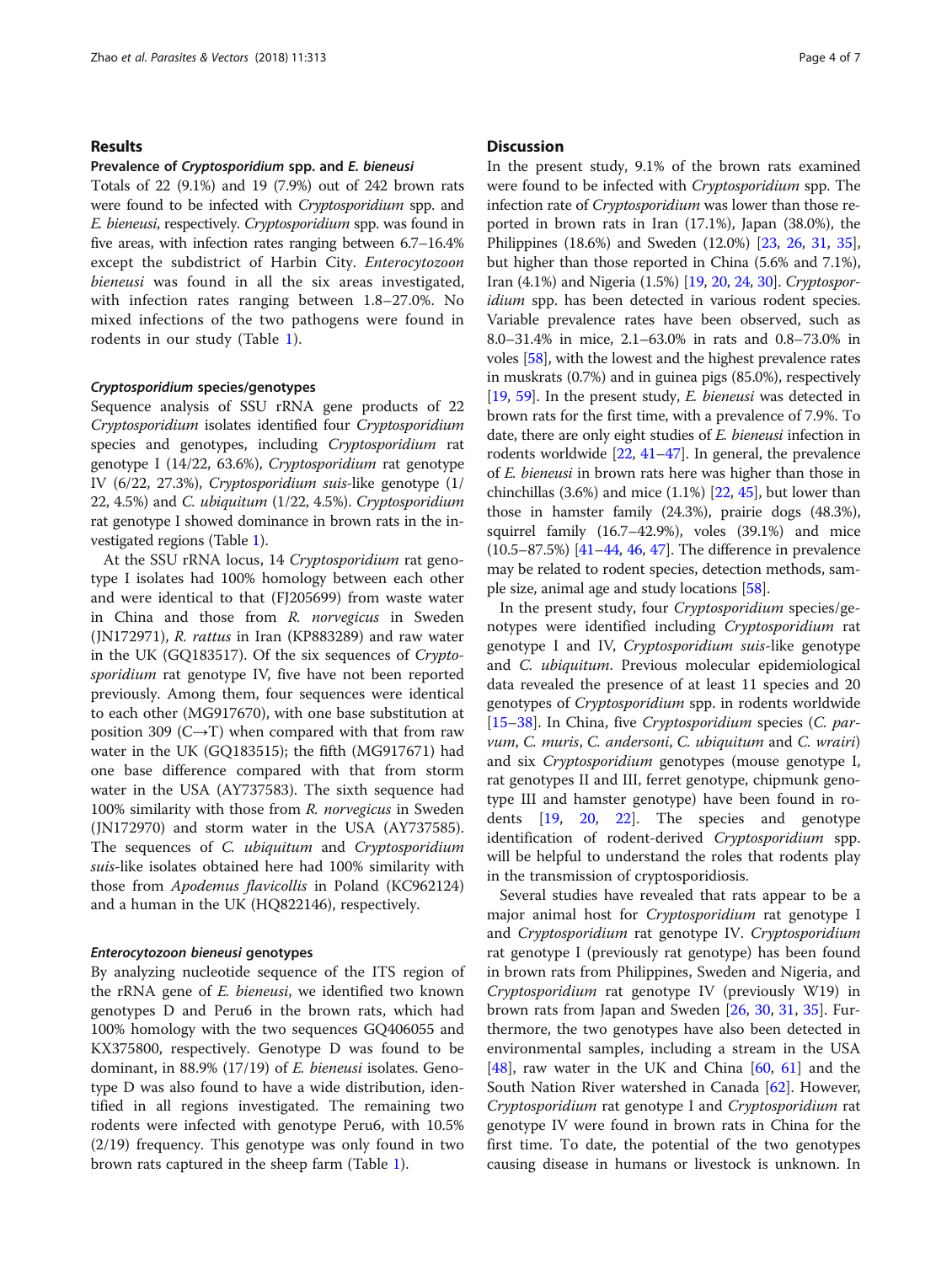# Results

## Prevalence of Cryptosporidium spp. and E. bieneusi

Totals of 22 (9.1%) and 19 (7.9%) out of 242 brown rats were found to be infected with *Cryptosporidium* spp. and E. bieneusi, respectively. Cryptosporidium spp. was found in five areas, with infection rates ranging between 6.7–16.4% except the subdistrict of Harbin City. Enterocytozoon bieneusi was found in all the six areas investigated, with infection rates ranging between 1.8–27.0%. No mixed infections of the two pathogens were found in rodents in our study (Table [1\)](#page-2-0).

#### Cryptosporidium species/genotypes

Sequence analysis of SSU rRNA gene products of 22 Cryptosporidium isolates identified four Cryptosporidium species and genotypes, including Cryptosporidium rat genotype I (14/22, 63.6%), Cryptosporidium rat genotype IV (6/22, 27.3%), Cryptosporidium suis-like genotype (1/ 22, 4.5%) and C. ubiquitum (1/22, 4.5%). Cryptosporidium rat genotype I showed dominance in brown rats in the investigated regions (Table [1\)](#page-2-0).

At the SSU rRNA locus, 14 Cryptosporidium rat genotype I isolates had 100% homology between each other and were identical to that (FJ205699) from waste water in China and those from R. norvegicus in Sweden (JN172971), R. rattus in Iran (KP883289) and raw water in the UK (GQ183517). Of the six sequences of Cryptosporidium rat genotype IV, five have not been reported previously. Among them, four sequences were identical to each other (MG917670), with one base substitution at position 309 ( $C\rightarrow T$ ) when compared with that from raw water in the UK (GQ183515); the fifth (MG917671) had one base difference compared with that from storm water in the USA (AY737583). The sixth sequence had 100% similarity with those from R. norvegicus in Sweden (JN172970) and storm water in the USA (AY737585). The sequences of C. ubiquitum and Cryptosporidium suis-like isolates obtained here had 100% similarity with those from Apodemus flavicollis in Poland (KC962124) and a human in the UK (HQ822146), respectively.

#### Enterocytozoon bieneusi genotypes

By analyzing nucleotide sequence of the ITS region of the rRNA gene of E. bieneusi, we identified two known genotypes D and Peru6 in the brown rats, which had 100% homology with the two sequences GQ406055 and KX375800, respectively. Genotype D was found to be dominant, in 88.9% (17/19) of E. bieneusi isolates. Genotype D was also found to have a wide distribution, identified in all regions investigated. The remaining two rodents were infected with genotype Peru6, with 10.5% (2/19) frequency. This genotype was only found in two brown rats captured in the sheep farm (Table [1\)](#page-2-0).

# **Discussion**

In the present study, 9.1% of the brown rats examined were found to be infected with Cryptosporidium spp. The infection rate of *Cryptosporidium* was lower than those reported in brown rats in Iran (17.1%), Japan (38.0%), the Philippines (18.6%) and Sweden (12.0%) [[23](#page-5-0), [26,](#page-5-0) [31,](#page-5-0) [35](#page-5-0)], but higher than those reported in China (5.6% and 7.1%), Iran (4.1%) and Nigeria (1.5%) [[19,](#page-5-0) [20,](#page-5-0) [24](#page-5-0), [30\]](#page-5-0). Cryptosporidium spp. has been detected in various rodent species. Variable prevalence rates have been observed, such as 8.0–31.4% in mice, 2.1–63.0% in rats and 0.8–73.0% in voles [\[58\]](#page-6-0), with the lowest and the highest prevalence rates in muskrats (0.7%) and in guinea pigs (85.0%), respectively [[19](#page-5-0), [59\]](#page-6-0). In the present study, E. bieneusi was detected in brown rats for the first time, with a prevalence of 7.9%. To date, there are only eight studies of E. bieneusi infection in rodents worldwide [\[22,](#page-5-0) [41](#page-5-0)–[47\]](#page-5-0). In general, the prevalence of E. bieneusi in brown rats here was higher than those in chinchillas  $(3.6%)$  and mice  $(1.1%)$   $[22, 45]$  $[22, 45]$  $[22, 45]$ , but lower than those in hamster family (24.3%), prairie dogs (48.3%), squirrel family (16.7–42.9%), voles (39.1%) and mice (10.5–87.5%) [\[41](#page-5-0)–[44](#page-5-0), [46](#page-5-0), [47\]](#page-5-0). The difference in prevalence may be related to rodent species, detection methods, sample size, animal age and study locations [\[58\]](#page-6-0).

In the present study, four Cryptosporidium species/genotypes were identified including Cryptosporidium rat genotype I and IV, Cryptosporidium suis-like genotype and C. ubiquitum. Previous molecular epidemiological data revealed the presence of at least 11 species and 20 genotypes of Cryptosporidium spp. in rodents worldwide [[15](#page-5-0)–[38](#page-5-0)]. In China, five Cryptosporidium species (C. parvum, C. muris, C. andersoni, C. ubiquitum and C. wrairi) and six Cryptosporidium genotypes (mouse genotype I, rat genotypes II and III, ferret genotype, chipmunk genotype III and hamster genotype) have been found in rodents [\[19](#page-5-0), [20,](#page-5-0) [22\]](#page-5-0). The species and genotype identification of rodent-derived Cryptosporidium spp. will be helpful to understand the roles that rodents play in the transmission of cryptosporidiosis.

Several studies have revealed that rats appear to be a major animal host for Cryptosporidium rat genotype I and Cryptosporidium rat genotype IV. Cryptosporidium rat genotype I (previously rat genotype) has been found in brown rats from Philippines, Sweden and Nigeria, and Cryptosporidium rat genotype IV (previously W19) in brown rats from Japan and Sweden [\[26,](#page-5-0) [30](#page-5-0), [31](#page-5-0), [35\]](#page-5-0). Furthermore, the two genotypes have also been detected in environmental samples, including a stream in the USA [[48\]](#page-5-0), raw water in the UK and China  $[60, 61]$  $[60, 61]$  $[60, 61]$  $[60, 61]$  and the South Nation River watershed in Canada [[62\]](#page-6-0). However, Cryptosporidium rat genotype I and Cryptosporidium rat genotype IV were found in brown rats in China for the first time. To date, the potential of the two genotypes causing disease in humans or livestock is unknown. In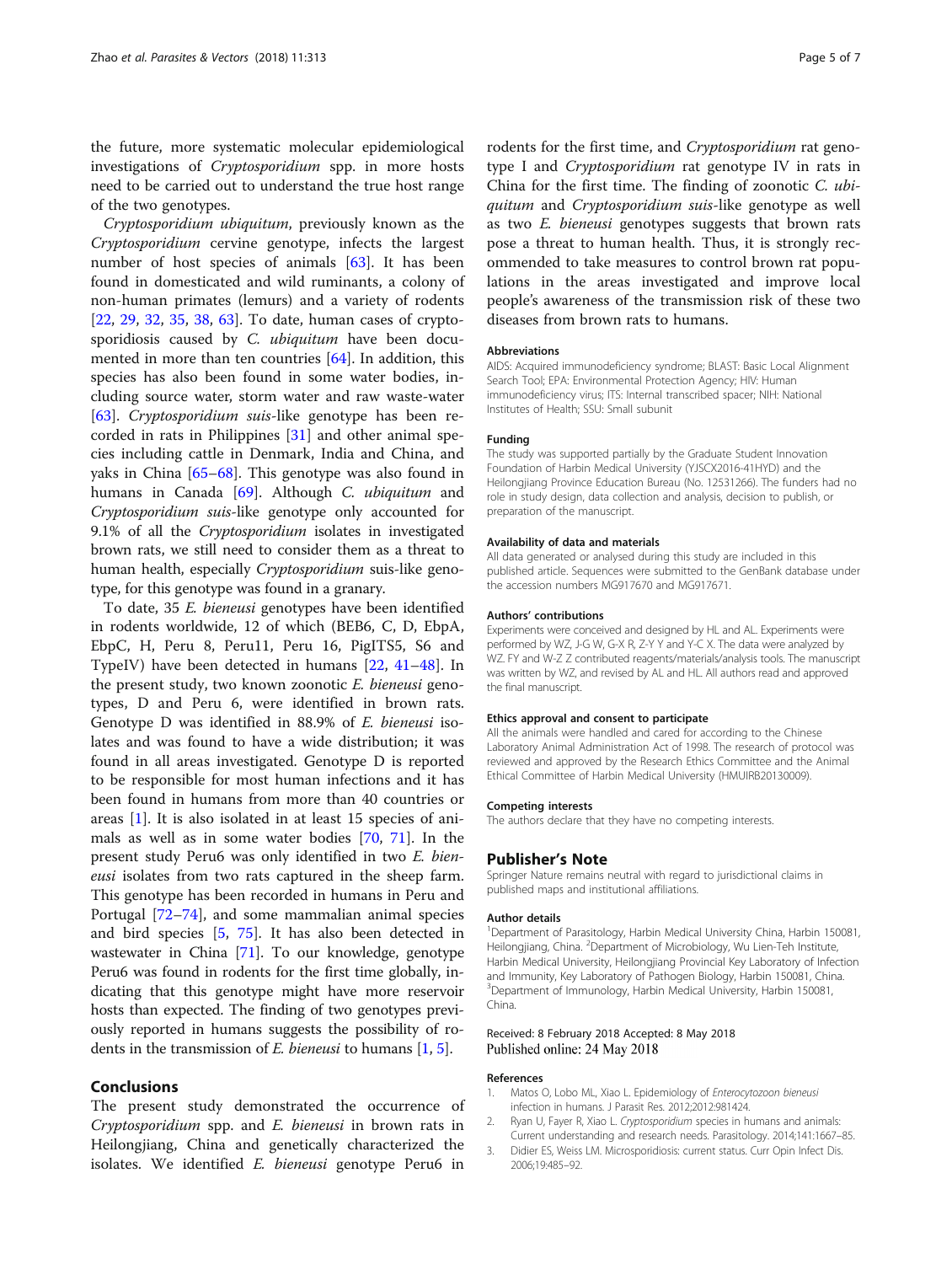<span id="page-4-0"></span>the future, more systematic molecular epidemiological investigations of Cryptosporidium spp. in more hosts need to be carried out to understand the true host range of the two genotypes.

Cryptosporidium ubiquitum, previously known as the Cryptosporidium cervine genotype, infects the largest number of host species of animals [\[63](#page-6-0)]. It has been found in domesticated and wild ruminants, a colony of non-human primates (lemurs) and a variety of rodents [[22,](#page-5-0) [29](#page-5-0), [32](#page-5-0), [35,](#page-5-0) [38](#page-5-0), [63\]](#page-6-0). To date, human cases of cryptosporidiosis caused by C. ubiquitum have been documented in more than ten countries [\[64\]](#page-6-0). In addition, this species has also been found in some water bodies, including source water, storm water and raw waste-water [[63\]](#page-6-0). Cryptosporidium suis-like genotype has been recorded in rats in Philippines [[31\]](#page-5-0) and other animal species including cattle in Denmark, India and China, and yaks in China [\[65](#page-6-0)–[68](#page-6-0)]. This genotype was also found in humans in Canada [[69\]](#page-6-0). Although C. ubiquitum and Cryptosporidium suis-like genotype only accounted for 9.1% of all the Cryptosporidium isolates in investigated brown rats, we still need to consider them as a threat to human health, especially Cryptosporidium suis-like genotype, for this genotype was found in a granary.

To date, 35 E. bieneusi genotypes have been identified in rodents worldwide, 12 of which (BEB6, C, D, EbpA, EbpC, H, Peru 8, Peru11, Peru 16, PigITS5, S6 and TypeIV) have been detected in humans [[22,](#page-5-0) [41](#page-5-0)–[48](#page-5-0)]. In the present study, two known zoonotic E. bieneusi genotypes, D and Peru 6, were identified in brown rats. Genotype D was identified in 88.9% of E. bieneusi isolates and was found to have a wide distribution; it was found in all areas investigated. Genotype D is reported to be responsible for most human infections and it has been found in humans from more than 40 countries or areas [1]. It is also isolated in at least 15 species of animals as well as in some water bodies [[70](#page-6-0), [71](#page-6-0)]. In the present study Peru6 was only identified in two E. bieneusi isolates from two rats captured in the sheep farm. This genotype has been recorded in humans in Peru and Portugal [\[72](#page-6-0)–[74\]](#page-6-0), and some mammalian animal species and bird species [\[5](#page-5-0), [75\]](#page-6-0). It has also been detected in wastewater in China [\[71\]](#page-6-0). To our knowledge, genotype Peru6 was found in rodents for the first time globally, indicating that this genotype might have more reservoir hosts than expected. The finding of two genotypes previously reported in humans suggests the possibility of rodents in the transmission of *E. bieneusi* to humans [1, [5](#page-5-0)].

# Conclusions

The present study demonstrated the occurrence of Cryptosporidium spp. and E. bieneusi in brown rats in Heilongjiang, China and genetically characterized the isolates. We identified E. bieneusi genotype Peru6 in

rodents for the first time, and Cryptosporidium rat genotype I and Cryptosporidium rat genotype IV in rats in China for the first time. The finding of zoonotic C. ubiquitum and Cryptosporidium suis-like genotype as well as two E. bieneusi genotypes suggests that brown rats pose a threat to human health. Thus, it is strongly recommended to take measures to control brown rat populations in the areas investigated and improve local people's awareness of the transmission risk of these two diseases from brown rats to humans.

#### Abbreviations

AIDS: Acquired immunodeficiency syndrome; BLAST: Basic Local Alignment Search Tool; EPA: Environmental Protection Agency; HIV: Human immunodeficiency virus; ITS: Internal transcribed spacer; NIH: National Institutes of Health; SSU: Small subunit

#### Funding

The study was supported partially by the Graduate Student Innovation Foundation of Harbin Medical University (YJSCX2016-41HYD) and the Heilongjiang Province Education Bureau (No. 12531266). The funders had no role in study design, data collection and analysis, decision to publish, or preparation of the manuscript.

#### Availability of data and materials

All data generated or analysed during this study are included in this published article. Sequences were submitted to the GenBank database under the accession numbers MG917670 and MG917671.

#### Authors' contributions

Experiments were conceived and designed by HL and AL. Experiments were performed by WZ, J-G W, G-X R, Z-Y Y and Y-C X. The data were analyzed by WZ. FY and W-Z Z contributed reagents/materials/analysis tools. The manuscript was written by WZ, and revised by AL and HL. All authors read and approved the final manuscript.

#### Ethics approval and consent to participate

All the animals were handled and cared for according to the Chinese Laboratory Animal Administration Act of 1998. The research of protocol was reviewed and approved by the Research Ethics Committee and the Animal Ethical Committee of Harbin Medical University (HMUIRB20130009).

#### Competing interests

The authors declare that they have no competing interests.

#### Publisher's Note

Springer Nature remains neutral with regard to jurisdictional claims in published maps and institutional affiliations.

#### Author details

<sup>1</sup>Department of Parasitology, Harbin Medical University China, Harbin 150081, Heilongjiang, China. <sup>2</sup>Department of Microbiology, Wu Lien-Teh Institute, Harbin Medical University, Heilongjiang Provincial Key Laboratory of Infection and Immunity, Key Laboratory of Pathogen Biology, Harbin 150081, China. 3 Department of Immunology, Harbin Medical University, Harbin 150081, China.

#### Received: 8 February 2018 Accepted: 8 May 2018 Published online: 24 May 2018

#### References

- Matos O, Lobo ML, Xiao L. Epidemiology of Enterocytozoon bieneusi infection in humans. J Parasit Res. 2012;2012:981424.
- 2. Ryan U, Fayer R, Xiao L. Cryptosporidium species in humans and animals: Current understanding and research needs. Parasitology. 2014;141:1667–85.
- 3. Didier ES, Weiss LM. Microsporidiosis: current status. Curr Opin Infect Dis. 2006;19:485–92.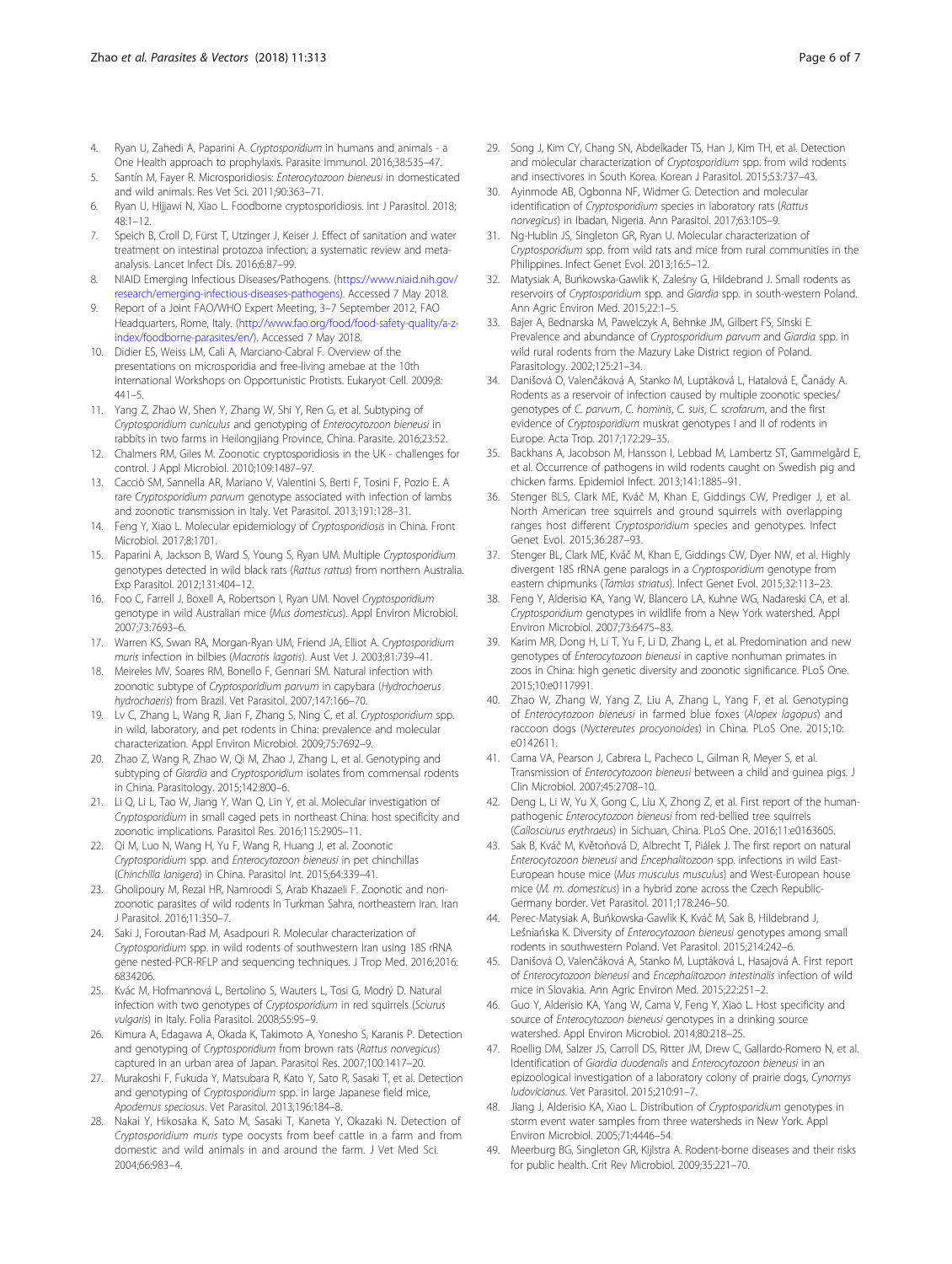- <span id="page-5-0"></span>4. Ryan U, Zahedi A, Paparini A. Cryptosporidium in humans and animals - a One Health approach to prophylaxis. Parasite Immunol. 2016;38:535–47.
- Santín M, Fayer R, Microsporidiosis: Enterocytozoon bieneusi in domesticated and wild animals. Res Vet Sci. 2011;90:363–71.
- 6. Ryan U, Hijjawi N, Xiao L. Foodborne cryptosporidiosis. Int J Parasitol. 2018;  $48.1 - 12$
- 7. Speich B, Croll D, Fürst T, Utzinger J, Keiser J. Effect of sanitation and water treatment on intestinal protozoa infection: a systematic review and metaanalysis. Lancet Infect Dis. 2016;6:87–99.
- 8. NIAID Emerging Infectious Diseases/Pathogens. ([https://www.niaid.nih.gov/](https://www.niaid.nih.gov/research/emerging-infectious-diseases-pathogens) [research/emerging-infectious-diseases-pathogens\)](https://www.niaid.nih.gov/research/emerging-infectious-diseases-pathogens). Accessed 7 May 2018.
- 9. Report of a Joint FAO/WHO Expert Meeting, 3–7 September 2012, FAO Headquarters, Rome, Italy. [\(http://www.fao.org/food/food-safety-quality/a-z](http://www.fao.org/food/food-safety-quality/a-z-index/foodborne-parasites/en)[index/foodborne-parasites/en/\)](http://www.fao.org/food/food-safety-quality/a-z-index/foodborne-parasites/en). Accessed 7 May 2018.
- 10. Didier ES, Weiss LM, Cali A, Marciano-Cabral F. Overview of the presentations on microsporidia and free-living amebae at the 10th International Workshops on Opportunistic Protists. Eukaryot Cell. 2009;8: 441–5.
- 11. Yang Z, Zhao W, Shen Y, Zhang W, Shi Y, Ren G, et al. Subtyping of Cryptosporidium cuniculus and genotyping of Enterocytozoon bieneusi in rabbits in two farms in Heilongjiang Province, China. Parasite. 2016;23:52.
- 12. Chalmers RM, Giles M. Zoonotic cryptosporidiosis in the UK challenges for control. J Appl Microbiol. 2010;109:1487–97.
- 13. Cacciò SM, Sannella AR, Mariano V, Valentini S, Berti F, Tosini F, Pozio E. A rare Cryptosporidium parvum genotype associated with infection of lambs and zoonotic transmission in Italy. Vet Parasitol. 2013;191:128–31.
- 14. Feng Y, Xiao L. Molecular epidemiology of Cryptosporidiosis in China. Front Microbiol. 2017;8:1701.
- 15. Paparini A, Jackson B, Ward S, Young S, Ryan UM. Multiple Cryptosporidium genotypes detected in wild black rats (Rattus rattus) from northern Australia. Exp Parasitol. 2012;131:404–12.
- 16. Foo C, Farrell J, Boxell A, Robertson I, Ryan UM. Novel Cryptosporidium genotype in wild Australian mice (Mus domesticus). Appl Environ Microbiol. 2007;73:7693–6.
- 17. Warren KS, Swan RA, Morgan-Ryan UM, Friend JA, Elliot A. Cryptosporidium muris infection in bilbies (Macrotis lagotis). Aust Vet J. 2003;81:739–41.
- 18. Meireles MV, Soares RM, Bonello F, Gennari SM. Natural infection with zoonotic subtype of Cryptosporidium parvum in capybara (Hydrochoerus hydrochaeris) from Brazil. Vet Parasitol. 2007;147:166–70.
- 19. Lv C, Zhang L, Wang R, Jian F, Zhang S, Ning C, et al. Cryptosporidium spp. in wild, laboratory, and pet rodents in China: prevalence and molecular characterization. Appl Environ Microbiol. 2009;75:7692–9.
- 20. Zhao Z, Wang R, Zhao W, Qi M, Zhao J, Zhang L, et al. Genotyping and subtyping of Giardia and Cryptosporidium isolates from commensal rodents in China. Parasitology. 2015;142:800–6.
- 21. Li Q, Li L, Tao W, Jiang Y, Wan Q, Lin Y, et al. Molecular investigation of Cryptosporidium in small caged pets in northeast China: host specificity and zoonotic implications. Parasitol Res. 2016;115:2905–11.
- 22. Qi M, Luo N, Wang H, Yu F, Wang R, Huang J, et al. Zoonotic Cryptosporidium spp. and Enterocytozoon bieneusi in pet chinchillas (Chinchilla lanigera) in China. Parasitol Int. 2015;64:339–41.
- 23. Gholipoury M, Rezai HR, Namroodi S, Arab Khazaeli F. Zoonotic and nonzoonotic parasites of wild rodents in Turkman Sahra, northeastern Iran. Iran J Parasitol. 2016;11:350–7.
- 24. Saki J, Foroutan-Rad M, Asadpouri R. Molecular characterization of Cryptosporidium spp. in wild rodents of southwestern Iran using 18S rRNA gene nested-PCR-RFLP and sequencing techniques. J Trop Med. 2016;2016: 6834206.
- 25. Kvác M, Hofmannová L, Bertolino S, Wauters L, Tosi G, Modrý D. Natural infection with two genotypes of Cryptosporidium in red squirrels (Sciurus vulgaris) in Italy. Folia Parasitol. 2008;55:95–9.
- 26. Kimura A, Edagawa A, Okada K, Takimoto A, Yonesho S, Karanis P. Detection and genotyping of Cryptosporidium from brown rats (Rattus norvegicus) captured in an urban area of Japan. Parasitol Res. 2007;100:1417–20.
- 27. Murakoshi F, Fukuda Y, Matsubara R, Kato Y, Sato R, Sasaki T, et al. Detection and genotyping of Cryptosporidium spp. in large Japanese field mice, Apodemus speciosus. Vet Parasitol. 2013;196:184–8.
- 28. Nakai Y, Hikosaka K, Sato M, Sasaki T, Kaneta Y, Okazaki N. Detection of Cryptosporidium muris type oocysts from beef cattle in a farm and from domestic and wild animals in and around the farm. J Vet Med Sci. 2004;66:983–4.
- 29. Song J, Kim CY, Chang SN, Abdelkader TS, Han J, Kim TH, et al. Detection and molecular characterization of Cryptosporidium spp. from wild rodents and insectivores in South Korea. Korean J Parasitol. 2015;53:737–43.
- 30. Ayinmode AB, Ogbonna NF, Widmer G. Detection and molecular identification of Cryptosporidium species in laboratory rats (Rattus norvegicus) in Ibadan, Nigeria. Ann Parasitol. 2017;63:105–9.
- Ng-Hublin JS, Singleton GR, Ryan U. Molecular characterization of Cryptosporidium spp. from wild rats and mice from rural communities in the Philippines. Infect Genet Evol. 2013;16:5–12.
- 32. Matysiak A, Buńkowska-Gawlik K, Zaleśny G, Hildebrand J. Small rodents as reservoirs of Cryptosporidium spp. and Giardia spp. in south-western Poland. Ann Agric Environ Med. 2015;22:1–5.
- 33. Bajer A, Bednarska M, Pawelczyk A, Behnke JM, Gilbert FS, Sinski E. Prevalence and abundance of Cryptosporidium parvum and Giardia spp. in wild rural rodents from the Mazury Lake District region of Poland. Parasitology. 2002;125:21–34.
- 34. Danišová O, Valenčáková A, Stanko M, Luptáková L, Hatalová E, Čanády A. Rodents as a reservoir of infection caused by multiple zoonotic species/ genotypes of C. parvum, C. hominis, C. suis, C. scrofarum, and the first evidence of Cryptosporidium muskrat genotypes I and II of rodents in Europe. Acta Trop. 2017;172:29–35.
- 35. Backhans A, Jacobson M, Hansson I, Lebbad M, Lambertz ST, Gammelgård E, et al. Occurrence of pathogens in wild rodents caught on Swedish pig and chicken farms. Epidemiol Infect. 2013;141:1885–91.
- Stenger BLS, Clark ME, Kváč M, Khan E, Giddings CW, Prediger J, et al. North American tree squirrels and ground squirrels with overlapping ranges host different Cryptosporidium species and genotypes. Infect Genet Evol. 2015;36:287–93.
- 37. Stenger BL, Clark ME, Kváč M, Khan E, Giddings CW, Dyer NW, et al. Highly divergent 18S rRNA gene paralogs in a Cryptosporidium genotype from eastern chipmunks (Tamias striatus). Infect Genet Evol. 2015;32:113–23.
- 38. Feng Y, Alderisio KA, Yang W, Blancero LA, Kuhne WG, Nadareski CA, et al. Cryptosporidium genotypes in wildlife from a New York watershed. Appl Environ Microbiol. 2007;73:6475–83.
- 39. Karim MR, Dong H, Li T, Yu F, Li D, Zhang L, et al. Predomination and new genotypes of Enterocytozoon bieneusi in captive nonhuman primates in zoos in China: high genetic diversity and zoonotic significance. PLoS One. 2015;10:e0117991.
- 40. Zhao W, Zhang W, Yang Z, Liu A, Zhang L, Yang F, et al. Genotyping of Enterocytozoon bieneusi in farmed blue foxes (Alopex lagopus) and raccoon dogs (Nyctereutes procyonoides) in China. PLoS One. 2015;10: e0142611.
- 41. Cama VA, Pearson J, Cabrera L, Pacheco L, Gilman R, Meyer S, et al. Transmission of Enterocytozoon bieneusi between a child and guinea pigs. J Clin Microbiol. 2007;45:2708–10.
- 42. Deng L, Li W, Yu X, Gong C, Liu X, Zhong Z, et al. First report of the humanpathogenic Enterocytozoon bieneusi from red-bellied tree squirrels (Callosciurus erythraeus) in Sichuan, China. PLoS One. 2016;11:e0163605.
- 43. Sak B, Kváč M, Květoňová D, Albrecht T, Piálek J. The first report on natural Enterocytozoon bieneusi and Encephalitozoon spp. infections in wild East-European house mice (Mus musculus musculus) and West-European house mice (M. m. domesticus) in a hybrid zone across the Czech Republic-Germany border. Vet Parasitol. 2011;178:246–50.
- 44. Perec-Matysiak A, Buńkowska-Gawlik K, Kváč M, Sak B, Hildebrand J, Leśniańska K. Diversity of Enterocytozoon bieneusi genotypes among small rodents in southwestern Poland. Vet Parasitol. 2015;214:242–6.
- 45. Danišová O, Valenčáková A, Stanko M, Luptáková L, Hasajová A. First report of Enterocytozoon bieneusi and Encephalitozoon intestinalis infection of wild mice in Slovakia. Ann Agric Environ Med. 2015;22:251–2.
- 46. Guo Y, Alderisio KA, Yang W, Cama V, Feng Y, Xiao L. Host specificity and source of Enterocytozoon bieneusi genotypes in a drinking source watershed. Appl Environ Microbiol. 2014:80:218-25.
- 47. Roellig DM, Salzer JS, Carroll DS, Ritter JM, Drew C, Gallardo-Romero N, et al. Identification of Giardia duodenalis and Enterocytozoon bieneusi in an epizoological investigation of a laboratory colony of prairie dogs, Cynomys ludovicianus. Vet Parasitol. 2015;210:91–7.
- 48. Jiang J, Alderisio KA, Xiao L. Distribution of Cryptosporidium genotypes in storm event water samples from three watersheds in New York. Appl Environ Microbiol. 2005;71:4446–54.
- 49. Meerburg BG, Singleton GR, Kijlstra A. Rodent-borne diseases and their risks for public health. Crit Rev Microbiol. 2009;35:221–70.